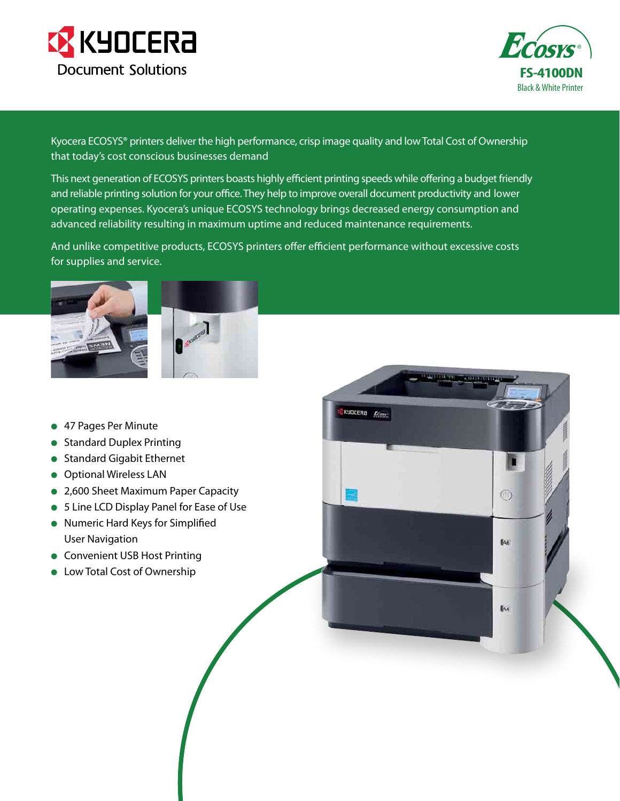



 $\circledcirc$ 

 $A6$ 

 $IA4$ 

Kyocera ECOSYS® printers deliver the high performance, crisp image quality and low Total Cost of Ownership that today's cost conscious businesses demand

This next generation of ECOSYS printers boasts highly efficient printing speeds while offering a budget friendly and reliable printing solution for your office. They help to improve overall document productivity and lower operating expenses. Kyocera's unique ECOSYS technology brings decreased energy consumption and advanced reliability resulting in maximum uptime and reduced maintenance requirements.

And unlike competitive products, ECOSYS printers offer efficient performance without excessive costs for supplies and service.

KYOCERA *Econ* 



- **47 Pages Per Minute**
- **Standard Duplex Printing**
- **Standard Gigabit Ethernet**
- **•** Optional Wireless LAN
- 2,600 Sheet Maximum Paper Capacity
- 5 Line LCD Display Panel for Ease of Use
- **Numeric Hard Keys for Simplified** User Navigation
- **Convenient USB Host Printing**
- **•** Low Total Cost of Ownership